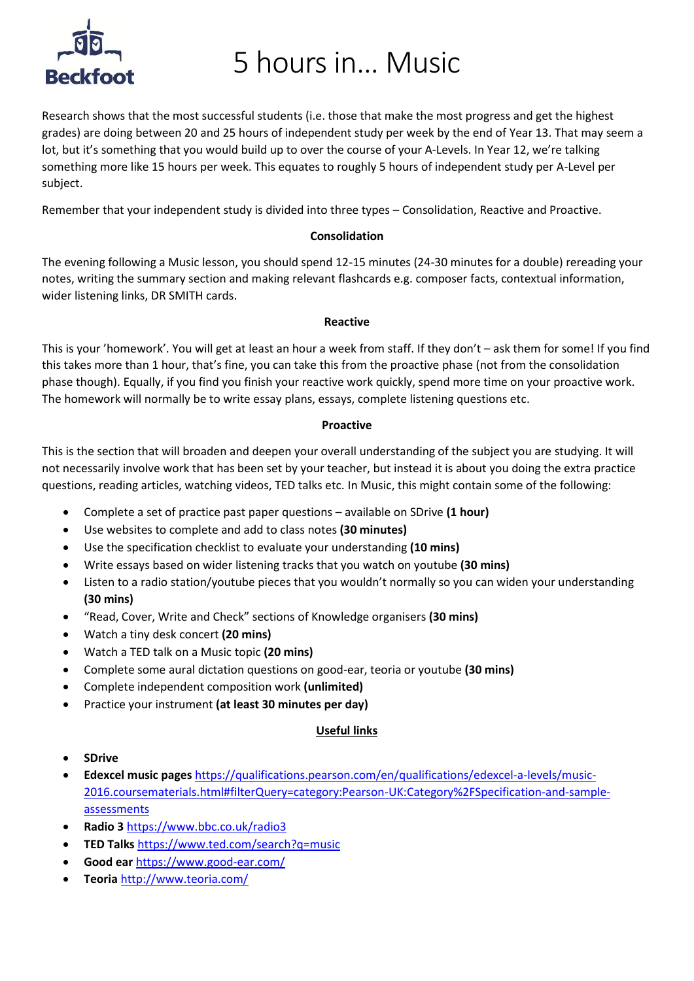# **Reckfoot**

### 5 hours in… Music

Research shows that the most successful students (i.e. those that make the most progress and get the highest grades) are doing between 20 and 25 hours of independent study per week by the end of Year 13. That may seem a lot, but it's something that you would build up to over the course of your A-Levels. In Year 12, we're talking something more like 15 hours per week. This equates to roughly 5 hours of independent study per A-Level per subject.

Remember that your independent study is divided into three types – Consolidation, Reactive and Proactive.

#### **Consolidation**

The evening following a Music lesson, you should spend 12-15 minutes (24-30 minutes for a double) rereading your notes, writing the summary section and making relevant flashcards e.g. composer facts, contextual information, wider listening links, DR SMITH cards.

#### **Reactive**

This is your 'homework'. You will get at least an hour a week from staff. If they don't – ask them for some! If you find this takes more than 1 hour, that's fine, you can take this from the proactive phase (not from the consolidation phase though). Equally, if you find you finish your reactive work quickly, spend more time on your proactive work. The homework will normally be to write essay plans, essays, complete listening questions etc.

#### **Proactive**

This is the section that will broaden and deepen your overall understanding of the subject you are studying. It will not necessarily involve work that has been set by your teacher, but instead it is about you doing the extra practice questions, reading articles, watching videos, TED talks etc. In Music, this might contain some of the following:

- Complete a set of practice past paper questions available on SDrive **(1 hour)**
- Use websites to complete and add to class notes **(30 minutes)**
- Use the specification checklist to evaluate your understanding **(10 mins)**
- Write essays based on wider listening tracks that you watch on youtube **(30 mins)**
- Listen to a radio station/youtube pieces that you wouldn't normally so you can widen your understanding **(30 mins)**
- "Read, Cover, Write and Check" sections of Knowledge organisers **(30 mins)**
- Watch a tiny desk concert **(20 mins)**
- Watch a TED talk on a Music topic **(20 mins)**
- Complete some aural dictation questions on good-ear, teoria or youtube **(30 mins)**
- Complete independent composition work **(unlimited)**
- Practice your instrument **(at least 30 minutes per day)**

#### **Useful links**

- **SDrive**
- **Edexcel music pages** [https://qualifications.pearson.com/en/qualifications/edexcel-a-levels/music-](https://qualifications.pearson.com/en/qualifications/edexcel-a-levels/music-2016.coursematerials.html#filterQuery=category:Pearson-UK:Category%2FSpecification-and-sample-assessments)[2016.coursematerials.html#filterQuery=category:Pearson-UK:Category%2FSpecification-and-sample](https://qualifications.pearson.com/en/qualifications/edexcel-a-levels/music-2016.coursematerials.html#filterQuery=category:Pearson-UK:Category%2FSpecification-and-sample-assessments)[assessments](https://qualifications.pearson.com/en/qualifications/edexcel-a-levels/music-2016.coursematerials.html#filterQuery=category:Pearson-UK:Category%2FSpecification-and-sample-assessments)
- **Radio 3** <https://www.bbc.co.uk/radio3>
- **TED Talks** <https://www.ted.com/search?q=music>
- **Good ear** <https://www.good-ear.com/>
- **Teoria** <http://www.teoria.com/>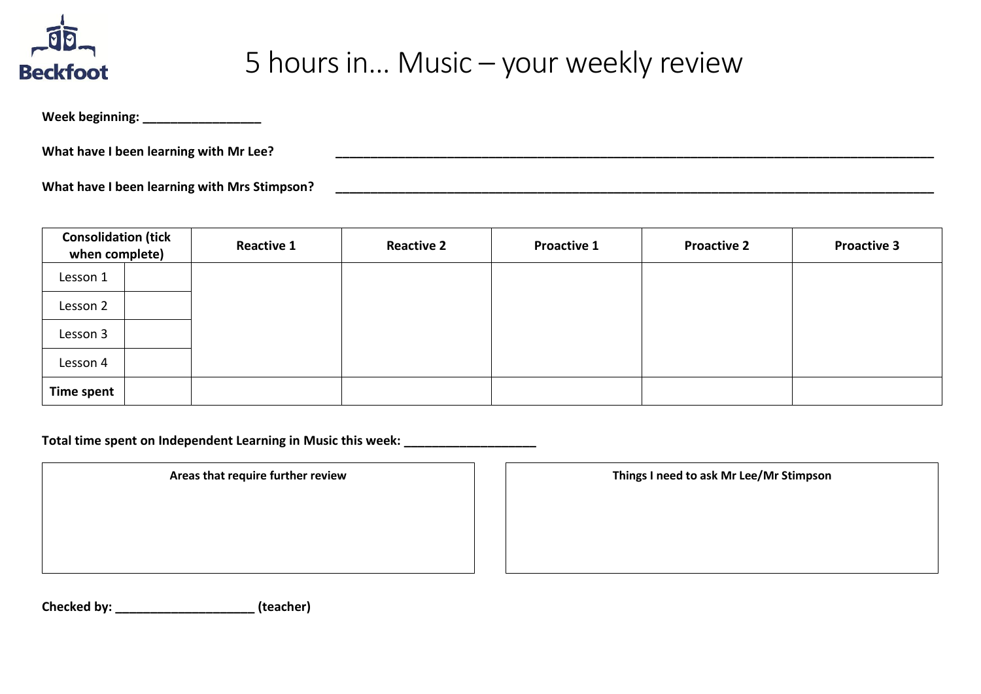

## 5 hours in… Music – your weekly review

**Week beginning: \_\_\_\_\_\_\_\_\_\_\_\_\_\_\_\_\_**

**What have I been learning with Mr Lee? \_\_\_\_\_\_\_\_\_\_\_\_\_\_\_\_\_\_\_\_\_\_\_\_\_\_\_\_\_\_\_\_\_\_\_\_\_\_\_\_\_\_\_\_\_\_\_\_\_\_\_\_\_\_\_\_\_\_\_\_\_\_\_\_\_\_\_\_\_\_\_\_\_\_\_\_\_\_\_\_\_\_\_\_\_\_**

**What have I been learning with Mrs Stimpson? \_\_\_\_\_\_\_\_\_\_\_\_\_\_\_\_\_\_\_\_\_\_\_\_\_\_\_\_\_\_\_\_\_\_\_\_\_\_\_\_\_\_\_\_\_\_\_\_\_\_\_\_\_\_\_\_\_\_\_\_\_\_\_\_\_\_\_\_\_\_\_\_\_\_\_\_\_\_\_\_\_\_\_\_\_\_**

| <b>Consolidation (tick</b><br>when complete) |  | <b>Reactive 1</b> | <b>Reactive 2</b> | <b>Proactive 1</b> | <b>Proactive 2</b> | <b>Proactive 3</b> |
|----------------------------------------------|--|-------------------|-------------------|--------------------|--------------------|--------------------|
| Lesson 1                                     |  |                   |                   |                    |                    |                    |
| Lesson 2                                     |  |                   |                   |                    |                    |                    |
| Lesson 3                                     |  |                   |                   |                    |                    |                    |
| Lesson 4                                     |  |                   |                   |                    |                    |                    |
| Time spent                                   |  |                   |                   |                    |                    |                    |

**Total time spent on Independent Learning in Music this week: \_\_\_\_\_\_\_\_\_\_\_\_\_\_\_\_\_\_\_**

**Areas that require further review Things I need to ask Mr Lee/Mr Stimpson**

**Checked by: \_\_\_\_\_\_\_\_\_\_\_\_\_\_\_\_\_\_\_\_ (teacher)**